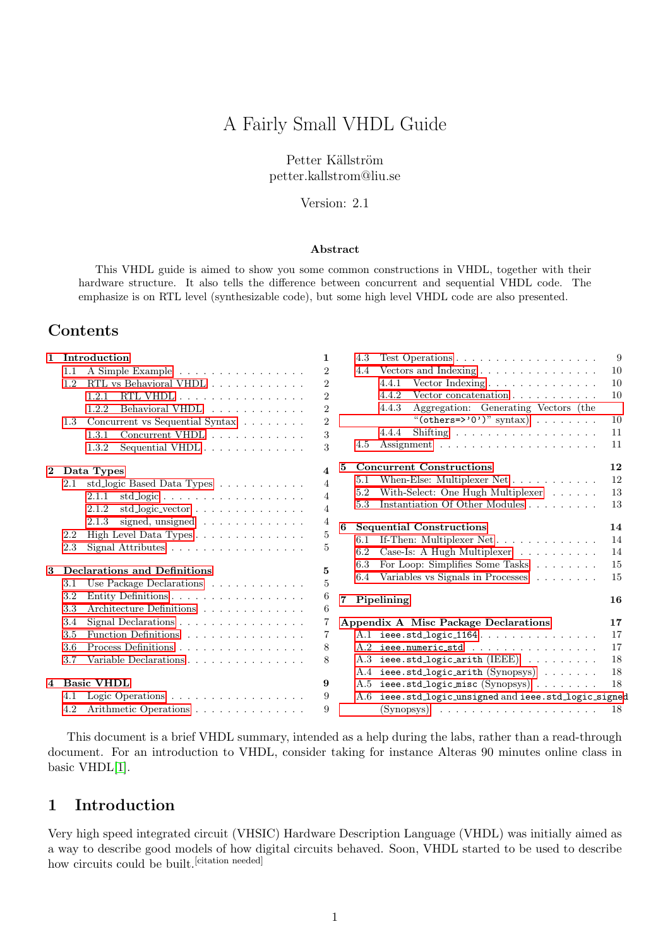# A Fairly Small VHDL Guide

Petter Källström petter.kallstrom@liu.se

Version: 2.1

#### Abstract

This VHDL guide is aimed to show you some common constructions in VHDL, together with their hardware structure. It also tells the difference between concurrent and sequential VHDL code. The emphasize is on RTL level (synthesizable code), but some high level VHDL code are also presented.

## Contents

| $\mathbf{1}$ |     | Introduction                                                          | $\mathbf{1}$   | 4.3                    |
|--------------|-----|-----------------------------------------------------------------------|----------------|------------------------|
|              | 1.1 | A Simple Example                                                      | $\overline{2}$ | 4.4                    |
|              | 1.2 | RTL vs Behavioral VHDL                                                | $\overline{2}$ |                        |
|              |     | RTL VHDL<br>1.2.1                                                     | $\overline{2}$ |                        |
|              |     | Behavioral VHDL<br>1.2.2.                                             | $\overline{2}$ |                        |
|              | 1.3 | Concurrent vs Sequential Syntax                                       | $\overline{2}$ |                        |
|              |     | Concurrent VHDL<br>1.3.1                                              | 3              |                        |
|              |     | Sequential VHDL $\ldots$ $\ldots$ $\ldots$ $\ldots$ $\ldots$<br>1.3.2 | 3              | 4.5                    |
| $\mathbf{2}$ |     | Data Types                                                            | 4              | 5<br>Con               |
|              | 2.1 | std_logic Based Data Types $\ldots \ldots \ldots \ldots$              | $\overline{4}$ | 5.1                    |
|              |     | 2.1.1<br>$std\_logic \ldots \ldots \ldots \ldots \ldots$              | $\overline{4}$ | 5.2                    |
|              |     | std_logic_vector<br>2.1.2                                             | $\overline{4}$ | 5.3                    |
|              |     | signed, unsigned $\ldots \ldots \ldots \ldots$<br>2.1.3               | $\overline{4}$ | 6                      |
|              | 2.2 | High Level Data Types                                                 | $\bf 5$        | Sequ<br>6.1            |
|              | 2.3 | Signal Attributes $\ldots \ldots \ldots \ldots \ldots$                | 5              | 6.2                    |
| 3            |     | Declarations and Definitions                                          | 5              | 6.3                    |
|              | 3.1 | Use Package Declarations $\ldots \ldots \ldots \ldots$                | 5              | 6.4                    |
|              | 3.2 | Entity Definitions                                                    | 6              | $\overline{7}$<br>Pip6 |
|              | 3.3 | Architecture Definitions                                              | 6              |                        |
|              | 3.4 | Signal Declarations $\ldots \ldots \ldots \ldots \ldots$              | 7              | Appen                  |
|              | 3.5 | Function Definitions                                                  | 7              | A.1                    |
|              | 3.6 | Process Definitions                                                   | 8              | A.2                    |
|              | 3.7 | Variable Declarations                                                 | 8              | A.3                    |
|              |     |                                                                       |                | A.4                    |
| 4            |     | <b>Basic VHDL</b>                                                     | 9              | A.5                    |
|              | 4.1 | Logic Operations                                                      | 9              | A.6                    |
|              | 4.2 | Arithmetic Operations                                                 | 9              |                        |

|    | 4.3     | 9<br>Test Operations $\ldots \ldots \ldots \ldots \ldots \ldots$ |    |  |
|----|---------|------------------------------------------------------------------|----|--|
|    | 4.4     | Vectors and Indexing $\ldots \ldots \ldots \ldots \ldots$        | 10 |  |
|    |         | 4.4.1<br>Vector Indexing                                         | 10 |  |
|    |         | 4.4.2<br>Vector concatenation $\ldots \ldots \ldots$             | 10 |  |
|    |         | 4.4.3<br>Aggregation: Generating Vectors (the                    |    |  |
|    |         | "(others=>'0')" syntax)                                          | 10 |  |
|    |         | Shifting<br>4.4.4                                                | 11 |  |
|    | 4.5     |                                                                  | 11 |  |
| 5. |         | <b>Concurrent Constructions</b>                                  | 12 |  |
|    | 5.1     | When-Else: Multiplexer Net $\dots \dots \dots$                   | 12 |  |
|    | $5.2\,$ | With-Select: One Hugh Multiplexer                                | 13 |  |
|    | 5.3     | Instantiation Of Other Modules                                   | 13 |  |
| 6  |         | <b>Sequential Constructions</b>                                  | 14 |  |
|    | 6.1     | If-Then: Multiplexer Net                                         | 14 |  |
|    | 6.2     | Case-Is: A Hugh Multiplexer $\ldots \ldots \ldots$               | 14 |  |
|    | 6.3     | For Loop: Simplifies Some Tasks                                  | 15 |  |
|    | 6.4     | Variables vs Signals in Processes                                | 15 |  |
| 7  |         | Pipelining                                                       | 16 |  |
|    |         | Appendix A Misc Package Declarations                             | 17 |  |
|    | A.1     | $ieee. std\_logic\_1164$                                         | 17 |  |
|    | A.2     | ieee.numeric_std                                                 | 17 |  |
|    | A.3     | ieee.std_logic_arith $(IEEE)$                                    | 18 |  |
|    | A.4     | $\texttt{ieee.std_logic-arith (Synopsys) \ldots \ldots$          | 18 |  |
|    | A.5     | ieee.std_logic_misc(Synopsys)                                    | 18 |  |
|    | A.6     | ieee.std_logic_unsigned and ieee.std_logic_signed                |    |  |
|    |         |                                                                  | 18 |  |

This document is a brief VHDL summary, intended as a help during the labs, rather than a read-through document. For an introduction to VHDL, consider taking for instance Alteras 90 minutes online class in basic VHDL[\[1\]](#page-15-1).

## <span id="page-0-0"></span>1 Introduction

Very high speed integrated circuit (VHSIC) Hardware Description Language (VHDL) was initially aimed as a way to describe good models of how digital circuits behaved. Soon, VHDL started to be used to describe how circuits could be built.<sup>[citation needed]</sup>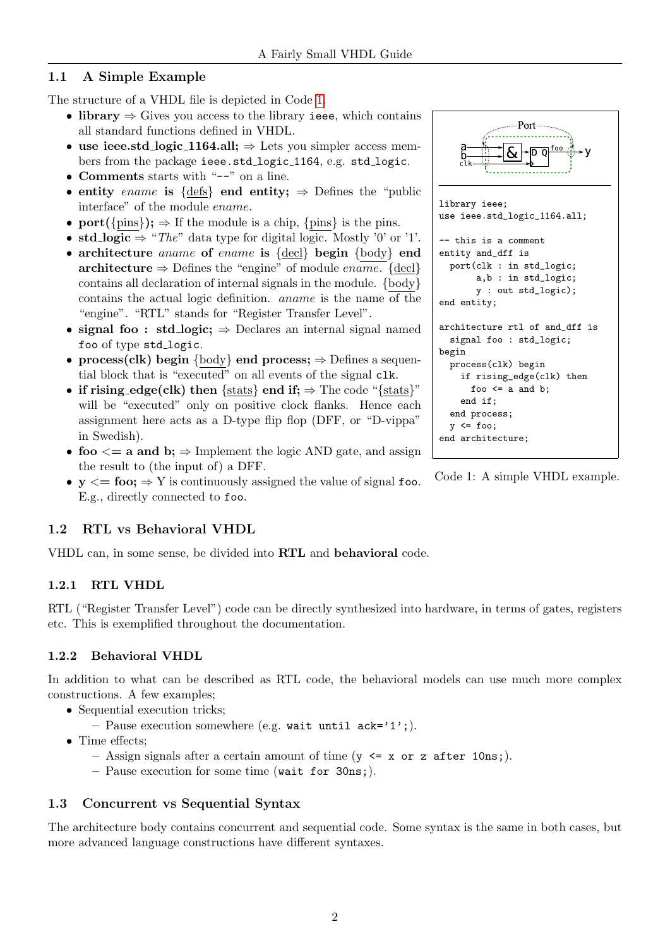## <span id="page-1-0"></span>1.1 A Simple Example

The structure of a VHDL file is depicted in Code [1.](#page-1-5)

- library  $\Rightarrow$  Gives you access to the library ieee, which contains all standard functions defined in VHDL.
- use ieee.std\_logic\_1164.all;  $\Rightarrow$  Lets you simpler access members from the package ieee.std\_logic\_1164, e.g. std\_logic.
- Comments starts with "--" on a line.
- entity ename is {defs} end entity;  $\Rightarrow$  Defines the "public" interface" of the module ename.
- port( $\{\text{pins}\}\;$ ;  $\Rightarrow$  If the module is a chip,  $\{\text{pins}\}\;$  is the pins.
- std\_logic  $\Rightarrow$  "The" data type for digital logic. Mostly '0' or '1'.
- architecture aname of ename is {decl} begin {body} end architecture  $\Rightarrow$  Defines the "engine" of module ename. {decl} contains all declaration of internal signals in the module. {body} contains the actual logic definition. aname is the name of the "engine". "RTL" stands for "Register Transfer Level".
- signal foo : std\_logic;  $\Rightarrow$  Declares an internal signal named foo of type std\_logic.
- process(clk) begin {body} end process;  $\Rightarrow$  Defines a sequential block that is "executed" on all events of the signal clk.
- if rising\_edge(clk) then {stats} end if;  $\Rightarrow$  The code "{stats}" will be "executed" only on positive clock flanks. Hence each assignment here acts as a D-type flip flop (DFF, or "D-vippa" in Swedish).
- foo  $\leq$  a and b;  $\Rightarrow$  Implement the logic AND gate, and assign the result to (the input of) a DFF.
- $y \leq foo$ ;  $\Rightarrow$  Y is continuously assigned the value of signal foo. E.g., directly connected to foo.

## <span id="page-1-1"></span>1.2 RTL vs Behavioral VHDL

VHDL can, in some sense, be divided into RTL and behavioral code.

## <span id="page-1-2"></span>1.2.1 RTL VHDL

RTL ("Register Transfer Level") code can be directly synthesized into hardware, in terms of gates, registers etc. This is exemplified throughout the documentation.

## <span id="page-1-3"></span>1.2.2 Behavioral VHDL

In addition to what can be described as RTL code, the behavioral models can use much more complex constructions. A few examples;

- Sequential execution tricks;
	- Pause execution somewhere (e.g. wait until  $ack='1$ <sup>'</sup>;).
- Time effects;
	- Assign signals after a certain amount of time  $(y \leq x \text{ or } z \text{ after } 10 \text{ns};)$ .
	- Pause execution for some time (wait for 30ns;).

## <span id="page-1-4"></span>1.3 Concurrent vs Sequential Syntax

The architecture body contains concurrent and sequential code. Some syntax is the same in both cases, but more advanced language constructions have different syntaxes.

<span id="page-1-5"></span>Port  $\overline{\mathsf{h}\,\mathsf{n}}$ library ieee; use ieee.std\_logic\_1164.all; -- this is a comment entity and\_dff is port(clk : in std\_logic; a,b : in std\_logic; y : out std\_logic); end entity; architecture rtl of and\_dff is signal foo : std\_logic; begin process(clk) begin if rising\_edge(clk) then foo  $\leq$  a and b; end if; end process;  $y \leq f$ oo; end architecture;

Code 1: A simple VHDL example.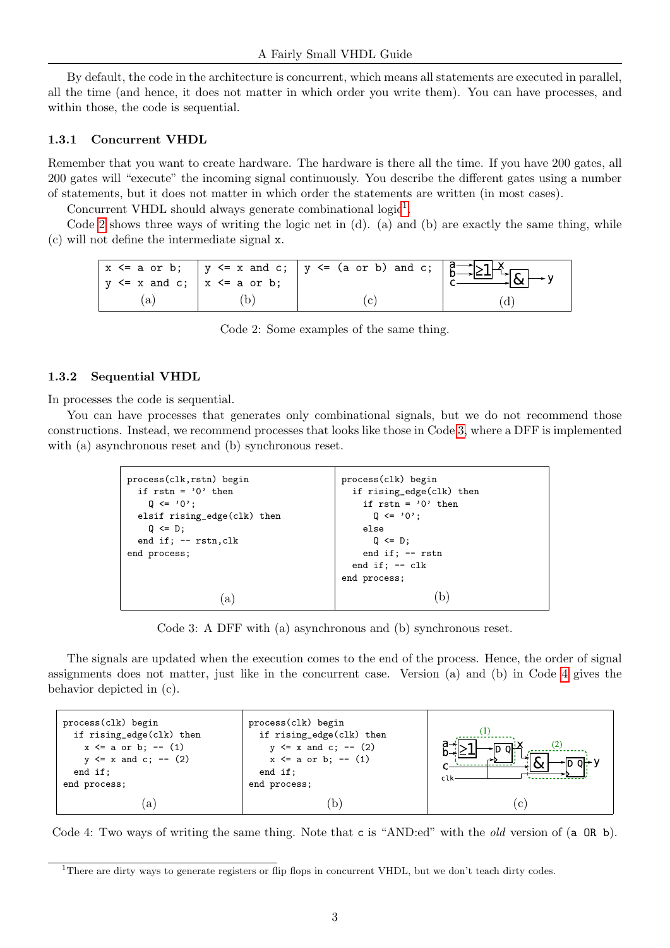By default, the code in the architecture is concurrent, which means all statements are executed in parallel, all the time (and hence, it does not matter in which order you write them). You can have processes, and within those, the code is sequential.

#### <span id="page-2-0"></span>1.3.1 Concurrent VHDL

Remember that you want to create hardware. The hardware is there all the time. If you have 200 gates, all 200 gates will "execute" the incoming signal continuously. You describe the different gates using a number of statements, but it does not matter in which order the statements are written (in most cases).

Concurrent VHDL should always generate combinational  $logic<sup>1</sup>$  $logic<sup>1</sup>$  $logic<sup>1</sup>$ .

<span id="page-2-3"></span>Code [2](#page-2-3) shows three ways of writing the logic net in (d). (a) and (b) are exactly the same thing, while (c) will not define the intermediate signal x.

| $ y \leq x$ and c; $ x \leq a$ or b; | $\frac{1}{x} \leq a$ or b; $\frac{1}{y} \leq x$ and c; $\frac{1}{y} \leq (a \text{ or } b)$ and c; $\frac{a}{b}$ $\geq 1$ |  |
|--------------------------------------|---------------------------------------------------------------------------------------------------------------------------|--|
|                                      |                                                                                                                           |  |

Code 2: Some examples of the same thing.

#### <span id="page-2-1"></span>1.3.2 Sequential VHDL

In processes the code is sequential.

<span id="page-2-4"></span>You can have processes that generates only combinational signals, but we do not recommend those constructions. Instead, we recommend processes that looks like those in Code [3,](#page-2-4) where a DFF is implemented with (a) asynchronous reset and (b) synchronous reset.

| process(clk) begin       |
|--------------------------|
| if rising_edge(clk) then |
| if $rstn = '0'$ then     |
| $Q \leq 0$ ;             |
| else                     |
| $Q \leq D$ ;             |
| end if; $--$ rstn        |
| end if; $--$ clk         |
| end process;             |
|                          |
|                          |
|                          |

Code 3: A DFF with (a) asynchronous and (b) synchronous reset.

The signals are updated when the execution comes to the end of the process. Hence, the order of signal assignments does not matter, just like in the concurrent case. Version (a) and (b) in Code [4](#page-2-5) gives the behavior depicted in (c).

<span id="page-2-5"></span>

Code 4: Two ways of writing the same thing. Note that c is "AND:ed" with the old version of (a OR b).

<span id="page-2-2"></span><sup>&</sup>lt;sup>1</sup>There are dirty ways to generate registers or flip flops in concurrent VHDL, but we don't teach dirty codes.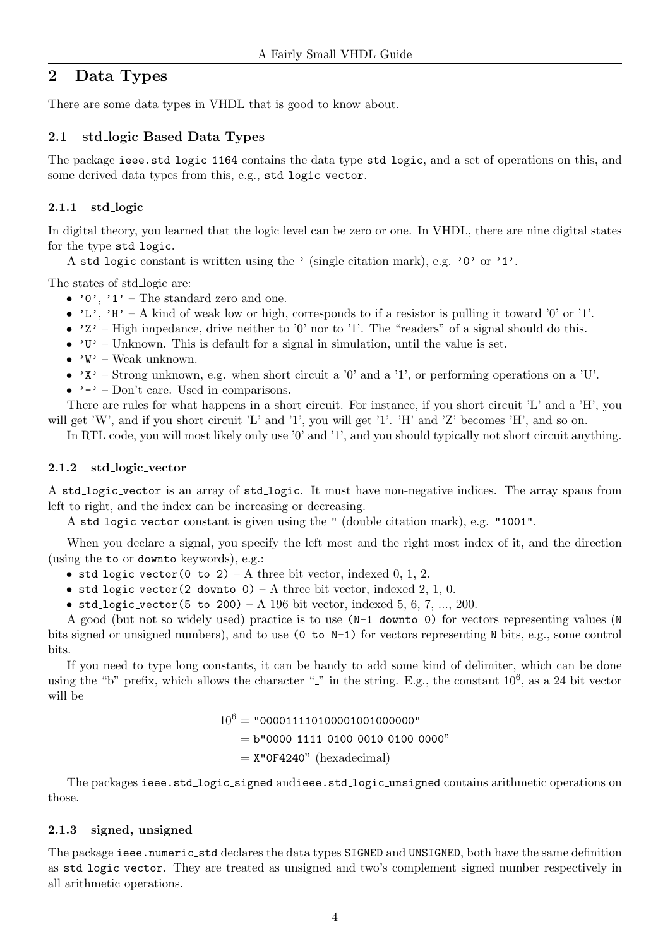## <span id="page-3-0"></span>2 Data Types

There are some data types in VHDL that is good to know about.

## <span id="page-3-1"></span>2.1 std logic Based Data Types

The package ieee.std logic 1164 contains the data type std logic, and a set of operations on this, and some derived data types from this, e.g., std\_logic\_vector.

## <span id="page-3-2"></span>2.1.1 std logic

In digital theory, you learned that the logic level can be zero or one. In VHDL, there are nine digital states for the type std\_logic.

A std logic constant is written using the ' (single citation mark), e.g. '0' or '1'.

The states of std\_logic are:

- $'0'$ ,  $'1'$  The standard zero and one.
- 'L', 'H' A kind of weak low or high, corresponds to if a resistor is pulling it toward '0' or '1'.
- $2'$  High impedance, drive neither to '0' nor to '1'. The "readers" of a signal should do this.
- $'U'$  Unknown. This is default for a signal in simulation, until the value is set.
- $W'$  Weak unknown.
- $X'$  Strong unknown, e.g. when short circuit a '0' and a '1', or performing operations on a 'U'.
- $\bullet \rightarrow -\prime$  Don't care. Used in comparisons.

There are rules for what happens in a short circuit. For instance, if you short circuit 'L' and a 'H', you will get 'W', and if you short circuit 'L' and '1', you will get '1'. 'H' and 'Z' becomes 'H', and so on.

In RTL code, you will most likely only use '0' and '1', and you should typically not short circuit anything.

### <span id="page-3-3"></span>2.1.2 std logic vector

A std logic vector is an array of std logic. It must have non-negative indices. The array spans from left to right, and the index can be increasing or decreasing.

A std logic vector constant is given using the " (double citation mark), e.g. "1001".

When you declare a signal, you specify the left most and the right most index of it, and the direction (using the to or downto keywords), e.g.:

- std\_logic\_vector(0 to 2) A three bit vector, indexed 0, 1, 2.
- std\_logic\_vector(2 downto  $0$ ) A three bit vector, indexed 2, 1, 0.
- std\_logic\_vector(5 to 200) A 196 bit vector, indexed 5, 6, 7, ..., 200.

A good (but not so widely used) practice is to use (N-1 downto 0) for vectors representing values (N bits signed or unsigned numbers), and to use (0 to N-1) for vectors representing N bits, e.g., some control bits.

If you need to type long constants, it can be handy to add some kind of delimiter, which can be done using the "b" prefix, which allows the character " $\degree$ " in the string. E.g., the constant  $10^6$ , as a 24 bit vector will be

> $10^6$  = "0000111101000010010000000"  $= b"0000_11111_0100_0010_0100_0000"$  $=$  X"0F4240" (hexadecimal)

The packages ieee.std logic signed andieee.std logic unsigned contains arithmetic operations on those.

## <span id="page-3-4"></span>2.1.3 signed, unsigned

The package ieee.numeric\_std declares the data types SIGNED and UNSIGNED, both have the same definition as std logic vector. They are treated as unsigned and two's complement signed number respectively in all arithmetic operations.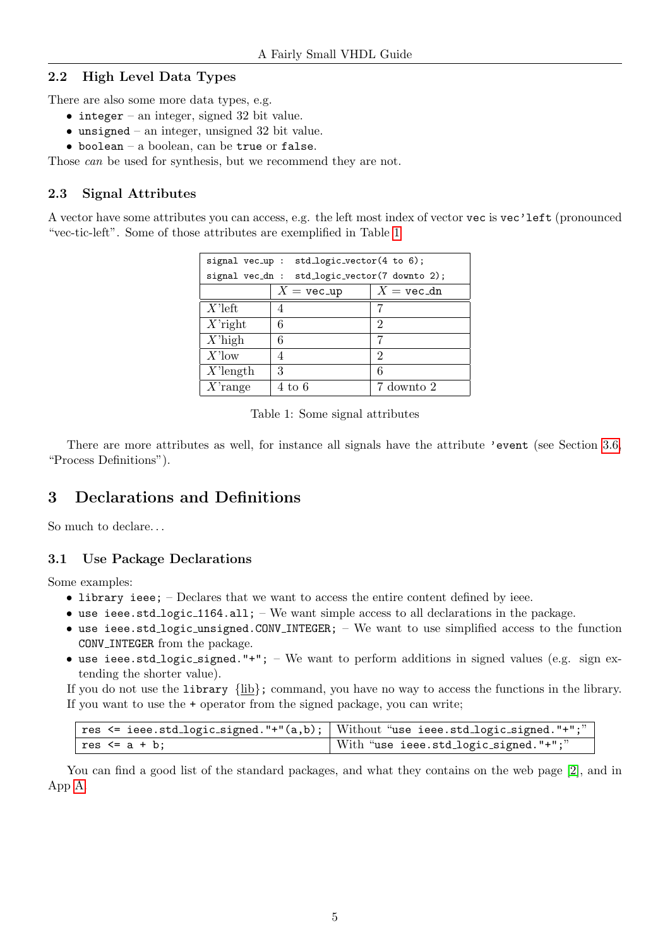## <span id="page-4-0"></span>2.2 High Level Data Types

There are also some more data types, e.g.

- integer an integer, signed 32 bit value.
- $\bullet$  unsigned an integer, unsigned 32 bit value.
- $\bullet$  boolean a boolean, can be true or false.

Those *can* be used for synthesis, but we recommend they are not.

## <span id="page-4-1"></span>2.3 Signal Attributes

<span id="page-4-4"></span>A vector have some attributes you can access, e.g. the left most index of vector vec is vec'left (pronounced "vec-tic-left". Some of those attributes are exemplified in Table [1](#page-4-4)

| signal vec_up : std_logic_vector(4 to 6); |                                               |                      |  |  |
|-------------------------------------------|-----------------------------------------------|----------------------|--|--|
|                                           | signal vec_dn : std_logic_vector(7 downto 2); |                      |  |  |
|                                           | $X = \text{vec-up}$                           | $X = \text{vec\_dn}$ |  |  |
| $X$ 'left                                 | 4                                             | 7                    |  |  |
| $X$ <sup>r</sup> ight                     | 6                                             | 2                    |  |  |
| $X$ 'high                                 | 6                                             | 7                    |  |  |
| $X$ 'low                                  |                                               | 2                    |  |  |
| $X$ 'length                               | 3                                             | 6                    |  |  |
| $X$ 'range                                | 4 to 6                                        | 7 downto 2           |  |  |

Table 1: Some signal attributes

There are more attributes as well, for instance all signals have the attribute 'event (see Section [3.6,](#page-7-0) "Process Definitions").

## <span id="page-4-2"></span>3 Declarations and Definitions

So much to declare. . .

### <span id="page-4-3"></span>3.1 Use Package Declarations

Some examples:

- library ieee; Declares that we want to access the entire content defined by ieee.
- use ieee.std\_logic\_1164.all; We want simple access to all declarations in the package.
- use ieee.std logic unsigned.CONV INTEGER; We want to use simplified access to the function CONV INTEGER from the package.
- use ieee.std logic signed."+";  $-$  We want to perform additions in signed values (e.g. sign extending the shorter value).

If you do not use the library  $\{\underline{lib}\}$ ; command, you have no way to access the functions in the library. If you want to use the + operator from the signed package, you can write;

|                   | res $\le$ ieee.std_logic_signed."+"(a,b); Without "use ieee.std_logic_signed."+";" |
|-------------------|------------------------------------------------------------------------------------|
| res $\leq$ a + b: | With "use ieee.std_logic_signed."+";"                                              |

You can find a good list of the standard packages, and what they contains on the web page [\[2\]](#page-15-2), and in App [A.](#page-16-0)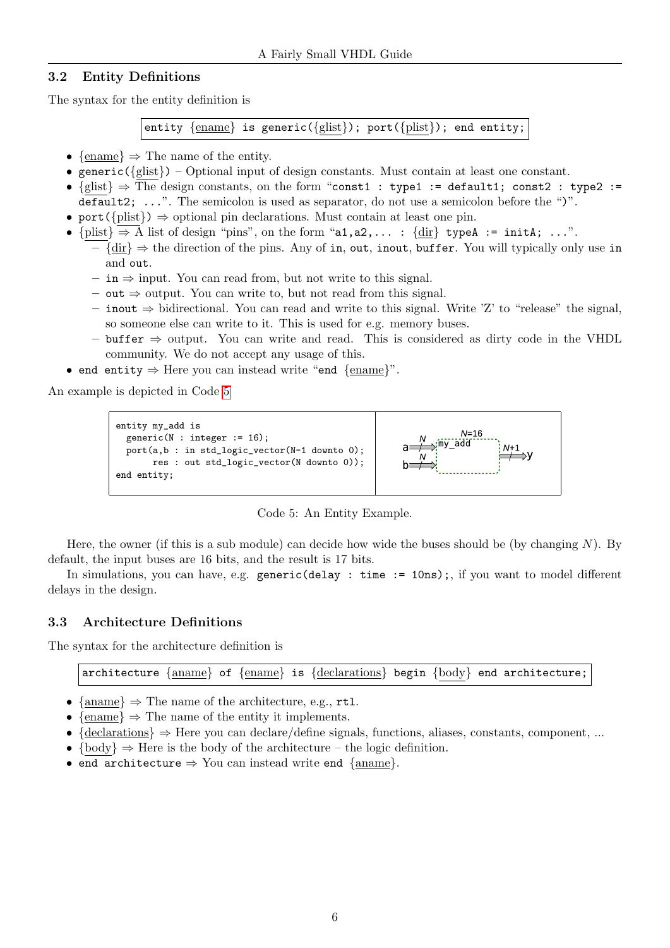## <span id="page-5-0"></span>3.2 Entity Definitions

The syntax for the entity definition is

entity {ename} is generic({glist}); port({plist}); end entity;

- {ename}  $\Rightarrow$  The name of the entity.
- generic( $\{glist\}$ ) Optional input of design constants. Must contain at least one constant.
- {glist} ⇒ The design constants, on the form "const1 : type1 := default1; const2 : type2 := default2; ...". The semicolon is used as separator, do not use a semicolon before the ")".
- port( ${\text{plist}}$ )  $\Rightarrow$  optional pin declarations. Must contain at least one pin.
- ${\text{minus}} \geq A$  list of design "pins", on the form "a1,a2,... :  ${\text{dir}}$  typeA := initA; ...".
	- $-\{\text{dir}\}\Rightarrow\text{the direction of the pins. Any of }i\text{n, out, inout, buffer. You will typically only use in }$ and out.
		- in ⇒ input. You can read from, but not write to this signal.
		- out ⇒ output. You can write to, but not read from this signal.
		- inout ⇒ bidirectional. You can read and write to this signal. Write 'Z' to "release" the signal, so someone else can write to it. This is used for e.g. memory buses.
		- buffer ⇒ output. You can write and read. This is considered as dirty code in the VHDL community. We do not accept any usage of this.
- end entity  $\Rightarrow$  Here you can instead write "end  $\{\text{ename}\}$ ".

<span id="page-5-2"></span>An example is depicted in Code [5](#page-5-2)



Code 5: An Entity Example.

Here, the owner (if this is a sub module) can decide how wide the buses should be (by changing  $N$ ). By default, the input buses are 16 bits, and the result is 17 bits.

In simulations, you can have, e.g. generic(delay : time := 10ns);, if you want to model different delays in the design.

### <span id="page-5-1"></span>3.3 Architecture Definitions

The syntax for the architecture definition is

architecture {aname} of {ename} is {declarations} begin {body} end architecture;

- {aname}  $\Rightarrow$  The name of the architecture, e.g., rtl.
- {ename}  $\Rightarrow$  The name of the entity it implements.
- ${declarations} \Rightarrow Here you can declare/define signals, functions, aliases, constants, component, ...$
- $\{body\} \Rightarrow$  Here is the body of the architecture the logic definition.
- end architecture  $\Rightarrow$  You can instead write end {aname}.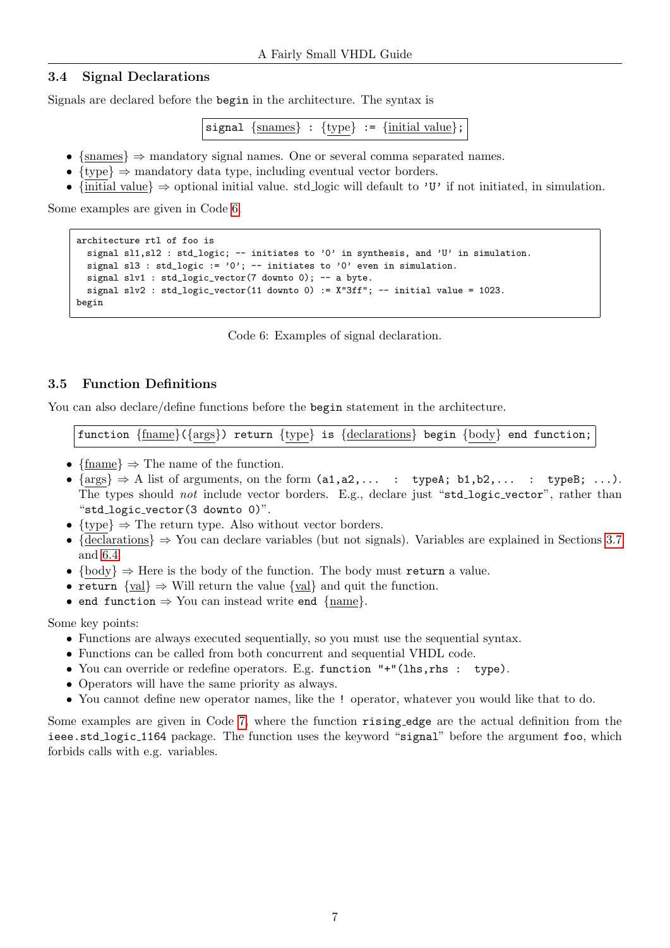## <span id="page-6-0"></span>3.4 Signal Declarations

Signals are declared before the begin in the architecture. The syntax is

signal  $\{ \text{snames} \}$ :  $\{ \text{type} \}$ :  $\{ \text{initial value} \}$ ;

- $\{\text{smames}\}\Rightarrow$  mandatory signal names. One or several comma separated names.
- $\{type\} \Rightarrow$  mandatory data type, including eventual vector borders.
- {initial value}  $\Rightarrow$  optional initial value. std logic will default to 'U' if not initiated, in simulation.

<span id="page-6-2"></span>Some examples are given in Code [6.](#page-6-2)

```
architecture rtl of foo is
 signal sl1,sl2 : std_logic; -- initiates to '0' in synthesis, and 'U' in simulation.
  signal sl3 : std_logic := '0'; -- initiates to '0' even in simulation.
  signal slv1 : std_logic_vector(7 downto 0); -- a byte.
 signal slv2 : std\_logic\_vector(11 downto 0) := X''3ff''; -- initial value = 1023.
begin
```
Code 6: Examples of signal declaration.

## <span id="page-6-1"></span>3.5 Function Definitions

You can also declare/define functions before the begin statement in the architecture.

function  ${frame}({args})$  return  ${type}$  is  ${declarations}$  begin  ${body}$  end function;

- {fname}  $\Rightarrow$  The name of the function.
- $\{args\} \Rightarrow A$  list of arguments, on the form  $(a1,a2,... : typeA; b1,b2,... : typeB; ...)$ . The types should not include vector borders. E.g., declare just "std\_logic\_vector", rather than "std logic vector(3 downto 0)".
- $\{ \text{type} \} \Rightarrow \text{The return type. Also without vector borders.}$
- {declarations}  $\Rightarrow$  You can declare variables (but not signals). Variables are explained in Sections [3.7](#page-7-1) and [6.4.](#page-14-1)
- $\{body\} \Rightarrow$  Here is the body of the function. The body must return a value.
- return  $\{val\} \Rightarrow$  Will return the value  $\{val\}$  and quit the function.
- end function  $\Rightarrow$  You can instead write end {name}.

Some key points:

- Functions are always executed sequentially, so you must use the sequential syntax.
- Functions can be called from both concurrent and sequential VHDL code.
- You can override or redefine operators. E.g. function "+"(lhs,rhs : type).
- Operators will have the same priority as always.
- You cannot define new operator names, like the ! operator, whatever you would like that to do.

Some examples are given in Code [7,](#page-7-2) where the function rising edge are the actual definition from the ieee.std logic 1164 package. The function uses the keyword "signal" before the argument foo, which forbids calls with e.g. variables.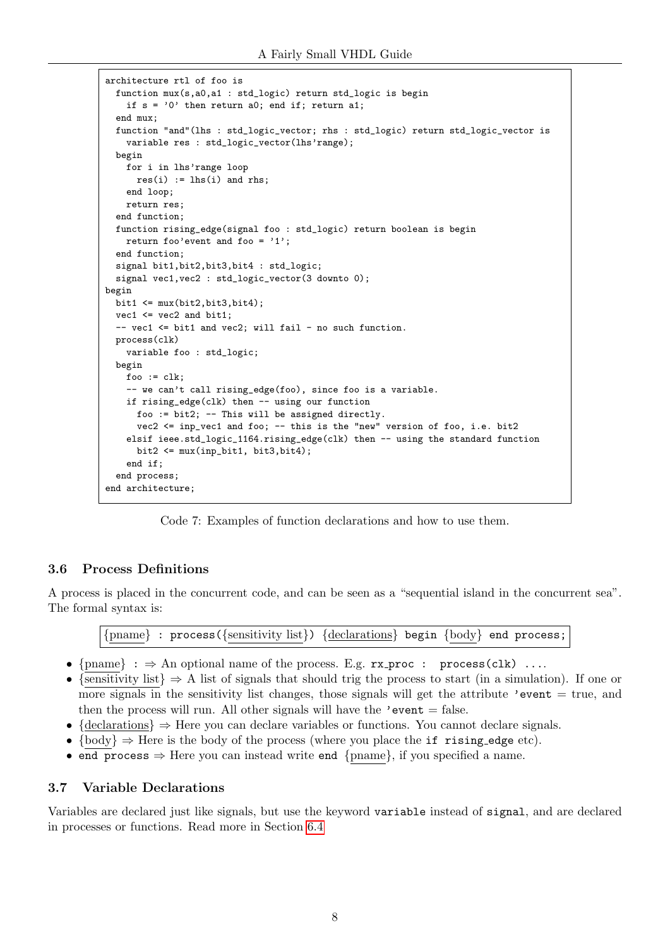```
architecture rtl of foo is
 function mux(s,a0,a1 : std_logic) return std_logic is begin
    if s = '0' then return a0; end if; return a1;
  end mux;
 function "and"(lhs : std_logic_vector; rhs : std_logic) return std_logic_vector is
    variable res : std_logic_vector(lhs'range);
 begin
    for i in lhs'range loop
     res(i) := lhs(i) and rhs;
    end loop;
   return res;
  end function;
 function rising_edge(signal foo : std_logic) return boolean is begin
   return foo'event and foo = '1';
 end function;
 signal bit1,bit2,bit3,bit4 : std_logic;
 signal vec1, vec2 : std_logic_vector(3 downto 0);
begin
 bit1 \leq mux(bit2,bit3,bit4);
 vec1 <= vec2 and bit1;
  -- vec1 \le bit1 and vec2; will fail - no such function.
 process(clk)
   variable foo : std_logic;
 begin
   foo := c\,lk:
    -- we can't call rising_edge(foo), since foo is a variable.
    if rising_edge(clk) then -- using our function
      foo := bit2; -- This will be assigned directly.
      vec2 \leq \text{inp\_vec1} and foo; -- this is the "new" version of foo, i.e. bit2
    elsif ieee.std_logic_1164.rising_edge(clk) then -- using the standard function
      bit2 \leq mux(inp\_bit1, bit3,bit4);end if;
 end process;
end architecture;
```
Code 7: Examples of function declarations and how to use them.

### <span id="page-7-0"></span>3.6 Process Definitions

A process is placed in the concurrent code, and can be seen as a "sequential island in the concurrent sea". The formal syntax is:

{pname} : process({sensitivity list}) {declarations} begin {body} end process;

- ${pname} : \Rightarrow$  An optional name of the process. E.g.  $rx\_proc : process(clk) ...$
- {sensitivity list}  $\Rightarrow$  A list of signals that should trig the process to start (in a simulation). If one or more signals in the sensitivity list changes, those signals will get the attribute 'event  $=$  true, and then the process will run. All other signals will have the 'event  $=$  false.
- {declarations}  $\Rightarrow$  Here you can declare variables or functions. You cannot declare signals.
- $\{body\} \Rightarrow$  Here is the body of the process (where you place the if rising edge etc).
- end process  $\Rightarrow$  Here you can instead write end {pname}, if you specified a name.

### <span id="page-7-1"></span>3.7 Variable Declarations

Variables are declared just like signals, but use the keyword variable instead of signal, and are declared in processes or functions. Read more in Section [6.4](#page-14-1)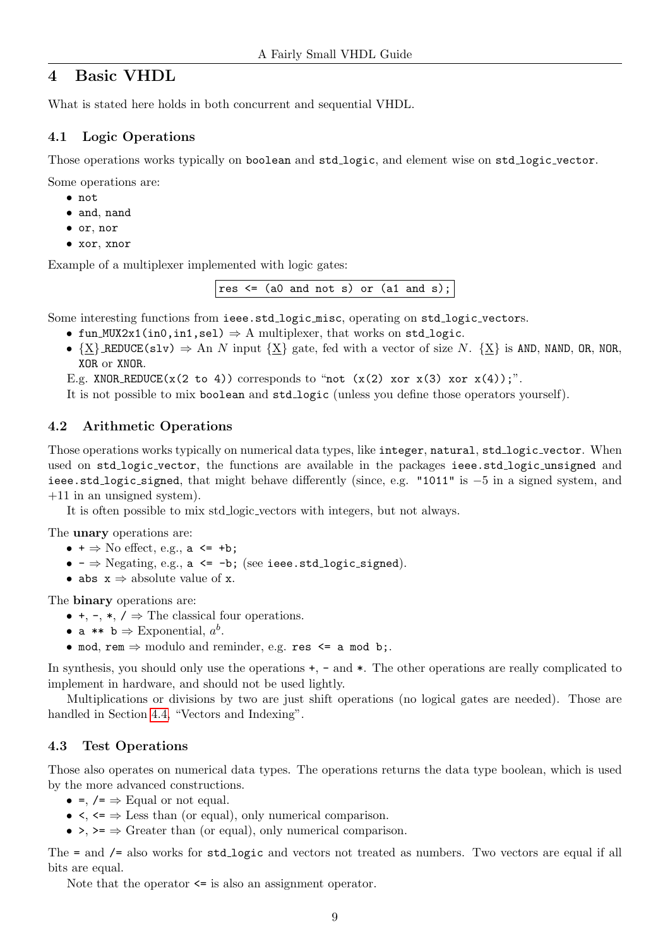## <span id="page-8-0"></span>4 Basic VHDL

What is stated here holds in both concurrent and sequential VHDL.

## <span id="page-8-1"></span>4.1 Logic Operations

Those operations works typically on boolean and std logic, and element wise on std logic vector.

Some operations are:

- not
- and, nand
- or, nor
- xor, xnor

Example of a multiplexer implemented with logic gates:

res  $\leq$  (a0 and not s) or (a1 and s);

Some interesting functions from ieee.std\_logic\_misc, operating on std\_logic\_vectors.

- fun MUX2x1(in0,in1,sel)  $\Rightarrow$  A multiplexer, that works on std logic.
- $\{X\}$  REDUCE(slv)  $\Rightarrow$  An N input  $\{X\}$  gate, fed with a vector of size N.  $\{X\}$  is AND, NAND, OR, NOR, XOR or XNOR.

E.g. XNOR REDUCE( $x(2 \text{ to } 4)$ ) corresponds to "not ( $x(2)$  xor  $x(3)$  xor  $x(4)$ );".

It is not possible to mix boolean and std\_logic (unless you define those operators yourself).

## <span id="page-8-2"></span>4.2 Arithmetic Operations

Those operations works typically on numerical data types, like integer, natural, std\_logic\_vector. When used on std\_logic\_vector, the functions are available in the packages ieee.std\_logic\_unsigned and ieee.std logic signed, that might behave differently (since, e.g. "1011" is −5 in a signed system, and +11 in an unsigned system).

It is often possible to mix std logic vectors with integers, but not always.

The unary operations are:

- $\bullet$  +  $\Rightarrow$  No effect, e.g., a  $\leq$  +b;
- $\bullet$   $\Rightarrow$  Negating, e.g., a <= -b; (see ieee.std\_logic\_signed).
- abs  $x \Rightarrow$  absolute value of x.

The binary operations are:

- $\bullet$ ,  $\bullet$ ,  $\bullet$ ,  $\star$ ,  $\prime \Rightarrow$  The classical four operations.
- a \*\*  $b \Rightarrow$  Exponential,  $a^b$ .
- mod, rem  $\Rightarrow$  modulo and reminder, e.g. res  $\leq$  a mod b;.

In synthesis, you should only use the operations  $+$ ,  $-$  and  $*$ . The other operations are really complicated to implement in hardware, and should not be used lightly.

Multiplications or divisions by two are just shift operations (no logical gates are needed). Those are handled in Section [4.4,](#page-9-0) "Vectors and Indexing".

## <span id="page-8-3"></span>4.3 Test Operations

Those also operates on numerical data types. The operations returns the data type boolean, which is used by the more advanced constructions.

- =,  $/$  =  $\Rightarrow$  Equal or not equal.
- $\leq \leq \leq \leq$  Less than (or equal), only numerical comparison.
- $\rightarrow$ ,  $\rightarrow$   $\rightarrow$  Greater than (or equal), only numerical comparison.

The = and  $\ell$  = also works for std\_logic and vectors not treated as numbers. Two vectors are equal if all bits are equal.

Note that the operator  $\leq$  is also an assignment operator.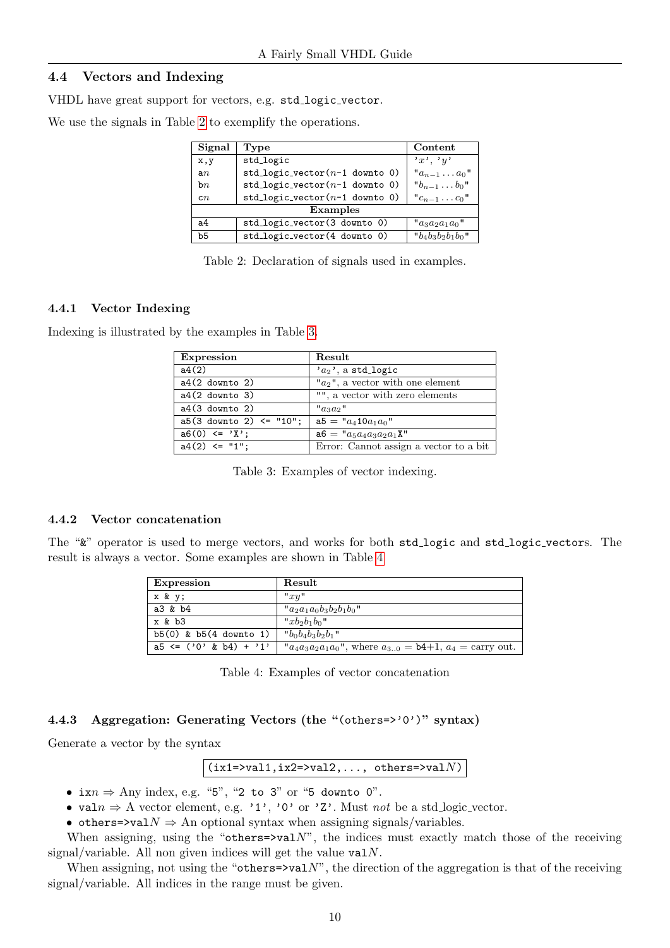#### <span id="page-9-0"></span>4.4 Vectors and Indexing

VHDL have great support for vectors, e.g. std\_logic\_vector.

<span id="page-9-4"></span>We use the signals in Table [2](#page-9-4) to exemplify the operations.

| Signal         | Type                                | Content                                    |  |  |
|----------------|-------------------------------------|--------------------------------------------|--|--|
| x,y            | std_logic                           | x, y, y                                    |  |  |
| a n            | std_logic_vector( $n-1$ downto 0)   | $a_{n-1} \ldots a_0$                       |  |  |
| bn             | $std\_logic\_vector(n-1)$ downto 0) | $"b_{n-1} \ldots b_0"$                     |  |  |
| cn             | $std\_logic\_vector(n-1)$ downto 0) | $^{\prime\prime\prime}c_{n-1}\ldots c_0$ " |  |  |
| Examples       |                                     |                                            |  |  |
| a <sub>4</sub> | std_logic_vector(3 downto 0)        | " $a_3a_2a_1a_0$ "                         |  |  |
| b5             | std_logic_vector(4 downto 0)        | " $b_4b_3b_2b_1b_0$ "                      |  |  |

Table 2: Declaration of signals used in examples.

#### <span id="page-9-1"></span>4.4.1 Vector Indexing

<span id="page-9-5"></span>Indexing is illustrated by the examples in Table [3.](#page-9-5)

| Expression                   | Result                                 |
|------------------------------|----------------------------------------|
| a4(2)                        | $'a_2$ , a std_logic                   |
| $a4(2$ downto 2)             | " $a_2$ ", a vector with one element   |
| $a4(2$ downto 3)             | "", a vector with zero elements        |
| $a4(3$ downto 2)             | $"a_3a_2"$                             |
| $a5(3$ downto 2) $\le$ "10"; | $a5 = "a_4 10a_1a_0"$                  |
| $a6(0) \leq Y$               | $a6 = "a_5a_4a_3a_2a_1X"$              |
| $a4(2) \leq "1";$            | Error: Cannot assign a vector to a bit |

Table 3: Examples of vector indexing.

#### <span id="page-9-2"></span>4.4.2 Vector concatenation

<span id="page-9-6"></span>The " $x$ " operator is used to merge vectors, and works for both std\_logic and std\_logic\_vectors. The result is always a vector. Some examples are shown in Table [4](#page-9-6)

| <b>Expression</b>          | Result                                                                   |
|----------------------------|--------------------------------------------------------------------------|
| x & y;                     | "xy"                                                                     |
| a3 & b4                    | " $a_2a_1a_0b_3b_2b_1b_0$ "                                              |
| x & b3                     | $''x + b_2 + b_1$                                                        |
| $b5(0)$ & $b5(4$ downto 1) | " $b_0b_4b_3b_2b_1$ "                                                    |
| $a5 \leq (0, 8, b4) + 1$   | " $a_4a_3a_2a_1a_0$ ", where $a_{30} = b4+1$ , $a_4 = \text{carry out.}$ |

Table 4: Examples of vector concatenation

### <span id="page-9-3"></span>4.4.3 Aggregation: Generating Vectors (the "(others=>'0')" syntax)

Generate a vector by the syntax

 $(ix1=>val1,ix2=>val2, ..., others=>valN)$ 

- ix $n \Rightarrow \text{Any index, e.g. "5", "2 to 3" or "5 down to 0".}$
- valn  $\Rightarrow$  A vector element, e.g. '1', '0' or 'Z'. Must not be a std logic vector.
- others=>val $N \Rightarrow$  An optional syntax when assigning signals/variables.

When assigning, using the "others= $\text{val}N$ ", the indices must exactly match those of the receiving signal/variable. All non given indices will get the value  $valN$ .

When assigning, not using the "others= $\rightarrow$ val $N$ ", the direction of the aggregation is that of the receiving signal/variable. All indices in the range must be given.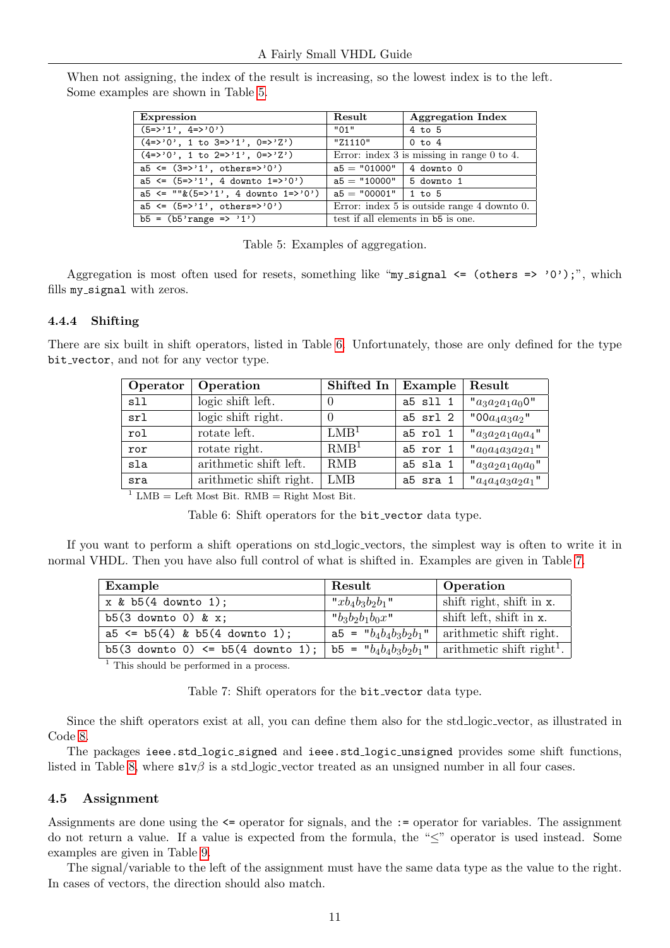<span id="page-10-2"></span>When not assigning, the index of the result is increasing, so the lowest index is to the left. Some examples are shown in Table [5.](#page-10-2)

| <b>Expression</b>                             | Result                                            | <b>Aggregation Index</b> |
|-----------------------------------------------|---------------------------------------------------|--------------------------|
| $(5 = > '1', 4 = > '0')$                      | "01"                                              | $4$ to $5$               |
| $(4=>0', 1 to 3=>1', 0=>2')$                  | "Z1110"                                           | 0 to 4                   |
| $(4=>0$ , 1 to $2=>1$ , $0=>2$ , $(2=>0)$     | Error: index $3$ is missing in range $0$ to $4$ . |                          |
| $a5 \leq (3=>1', \text{ others}>>0')$         | $a5 = "01000"   4$ downto 0                       |                          |
| $a5 \le (5 \le 2')$ , 4 downto $1 \le 2'$     | $a5 = "10000"$   5 downto 1                       |                          |
| $a5 \leq$ "" $\& (5=> 1', 4$ downto $1=> 0')$ | $a5 = "00001"$   1 to 5                           |                          |
| $a5 \le (5=)/1$ , others=>'0')                | Error: index 5 is outside range 4 down to 0.      |                          |
| $b5 = (b5'range \implies '1')$                | test if all elements in b5 is one.                |                          |

Table 5: Examples of aggregation.

Aggregation is most often used for resets, something like "my\_signal  $\leq$  (others  $\leq$  '0');", which fills my signal with zeros.

#### <span id="page-10-0"></span>4.4.4 Shifting

<span id="page-10-3"></span>There are six built in shift operators, listed in Table [6.](#page-10-3) Unfortunately, those are only defined for the type bit\_vector, and not for any vector type.

| Operator      | Operation               | Shifted In       | Example  | Result                |
|---------------|-------------------------|------------------|----------|-----------------------|
| s11           | logic shift left.       |                  | a5 sll 1 | " $a_3a_2a_1a_00$ "   |
| sr1           | logic shift right.      |                  | a5 srl 2 | "00 $a_4a_3a_2$ "     |
| $_{\rm{rol}}$ | rotate left.            | LMB <sup>1</sup> | a5 rol 1 | $"a_3a_2a_1a_0a_4"$   |
| ror           | rotate right.           | RMB <sup>1</sup> | a5 ror 1 | $"a_0a_4a_3a_2a_1"$   |
| sla           | arithmetic shift left.  | <b>RMB</b>       | a5 sla 1 | " $a_3a_2a_1a_0a_0$ " |
| sra           | arithmetic shift right. | LMB              | a5 sra 1 | $"a_4a_4a_3a_2a_1"$   |

<sup>1</sup> LMB = Left Most Bit. RMB = Right Most Bit.

Table 6: Shift operators for the bit\_vector data type.

<span id="page-10-4"></span>If you want to perform a shift operations on std logic vectors, the simplest way is often to write it in normal VHDL. Then you have also full control of what is shifted in. Examples are given in Table [7.](#page-10-4)

| Example                               | Result                   | Operation                             |
|---------------------------------------|--------------------------|---------------------------------------|
| $x \& b5(4$ downto 1);                | $"xb_4b_3b_2b_1"$        | shift right, shift in x.              |
| $b5(3$ downto 0) & x;                 | " $b_3b_2b_1b_0x$ "      | shift left, shift in x.               |
| $a5 \leq b5(4)$ & $b5(4$ downto 1);   | $a5 = "b_4b_4b_3b_2b_1"$ | arithmetic shift right.               |
| $b5(3$ downto 0) <= $b5(4$ downto 1); | $b5 = "b_4b_4b_3b_2b_1"$ | arithmetic shift right <sup>1</sup> . |

<sup>1</sup> This should be performed in a process.

Table 7: Shift operators for the **bit\_vector** data type.

Since the shift operators exist at all, you can define them also for the std logic vector, as illustrated in Code [8.](#page-11-2)

The packages ieee.std\_logic\_signed and ieee.std\_logic\_unsigned provides some shift functions, listed in Table [8,](#page-11-3) where  $\text{slv}\beta$  is a std logic vector treated as an unsigned number in all four cases.

### <span id="page-10-1"></span>4.5 Assignment

Assignments are done using the <= operator for signals, and the := operator for variables. The assignment do not return a value. If a value is expected from the formula, the "≤" operator is used instead. Some examples are given in Table [9.](#page-11-4)

The signal/variable to the left of the assignment must have the same data type as the value to the right. In cases of vectors, the direction should also match.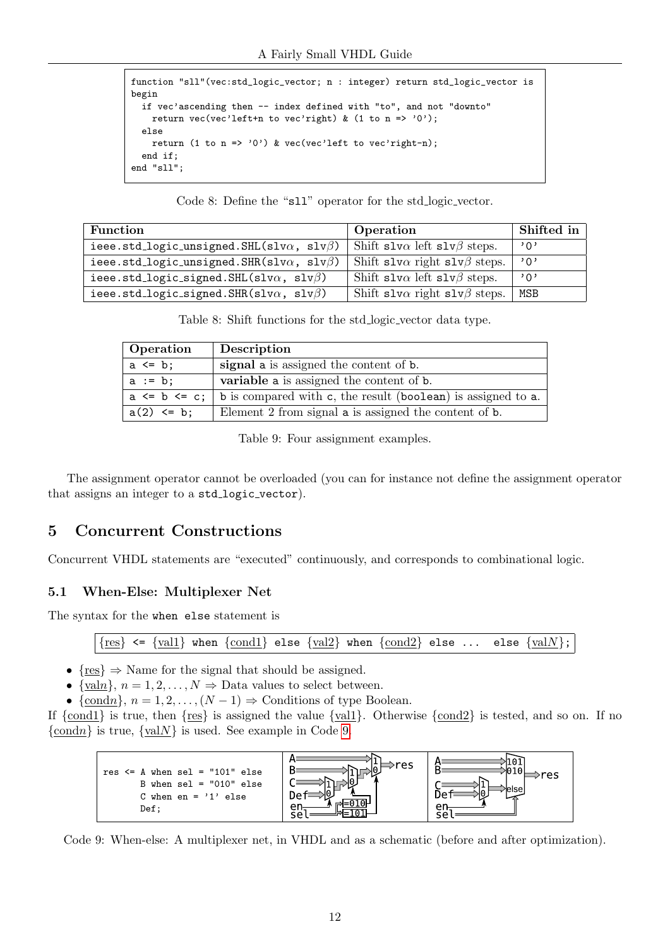```
function "sll"(vec:std_logic_vector; n : integer) return std_logic_vector is
begin
  if vec'ascending then -- index defined with "to", and not "downto"
    return vec(vec'left+n to vec'right) & (1 to n => '0');
  else
    return (1 to n \Rightarrow '0') & vec(vec'left to vec'right-n);
  end if;
end "sll";
```
Code 8: Define the "sll" operator for the std logic vector.

<span id="page-11-3"></span>

| <b>Function</b>                                          | Operation                                   | Shifted in |
|----------------------------------------------------------|---------------------------------------------|------------|
| ieee.std_logic_unsigned.SHL(slv $\alpha$ , slv $\beta$ ) | Shift slv $\alpha$ left slv $\beta$ steps.  | י חי       |
| ieee.std_logic_unsigned.SHR(slv $\alpha$ , slv $\beta$ ) | Shift slv $\alpha$ right slv $\beta$ steps. | ,0,        |
| ieee.std_logic_signed.SHL(slv $\alpha$ , slv $\beta$ )   | Shift slv $\alpha$ left slv $\beta$ steps.  | י ∩י       |
| ieee.std_logic_signed.SHR(slv $\alpha$ , slv $\beta$ )   | Shift slv $\alpha$ right slv $\beta$ steps. | MSB        |

Table 8: Shift functions for the std logic vector data type.

<span id="page-11-4"></span>

| Operation           | Description                                                  |
|---------------------|--------------------------------------------------------------|
| $a \leq b$ ;        | signal a is assigned the content of b.                       |
| $a := b;$           | variable a is assigned the content of b.                     |
| $a \leq b \leq c$ ; | b is compared with c, the result (boolean) is assigned to a. |
| $a(2) \le b;$       | Element 2 from signal a is assigned the content of b.        |

Table 9: Four assignment examples.

The assignment operator cannot be overloaded (you can for instance not define the assignment operator that assigns an integer to a std\_logic\_vector).

## <span id="page-11-0"></span>5 Concurrent Constructions

Concurrent VHDL statements are "executed" continuously, and corresponds to combinational logic.

## <span id="page-11-1"></span>5.1 When-Else: Multiplexer Net

The syntax for the when else statement is

 ${res} \le {val}$  when  ${cond}$  else  ${val2}$  when  ${cond2}$  else ... else  ${valN}$ ;

- $\{res\} \Rightarrow$  Name for the signal that should be assigned.
- {valn},  $n = 1, 2, ..., N \Rightarrow$  Data values to select between.
- {condn},  $n = 1, 2, ..., (N 1)$   $\Rightarrow$  Conditions of type Boolean.

If  $\{\text{cond1}\}\$ is true, then  $\{\text{res}\}\$ is assigned the value  $\{\text{vall}\}\$ . Otherwise  $\{\text{cond2}\}\$ is tested, and so on. If no  $\{\text{cond } n\}$  is true,  $\{\text{val } N\}$  is used. See example in Code [9.](#page-11-5)

<span id="page-11-5"></span>

Code 9: When-else: A multiplexer net, in VHDL and as a schematic (before and after optimization).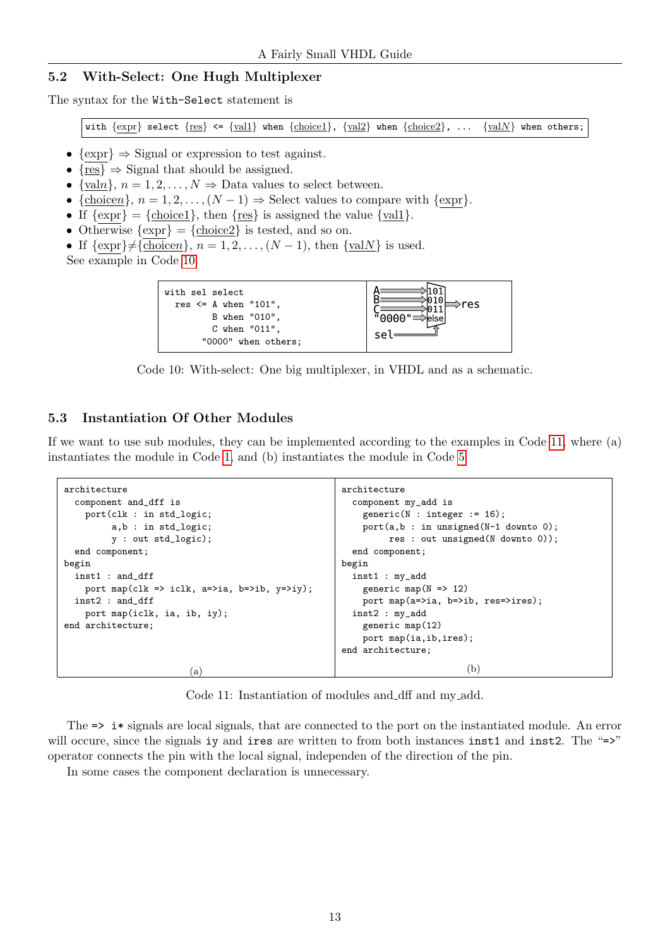### <span id="page-12-0"></span>5.2 With-Select: One Hugh Multiplexer

The syntax for the With-Select statement is

with  $\{expr\}$  select  $\{res\} \leq \{vall\}$  when  $\{choice1\}$ ,  $\{val2\}$  when  $\{choice2\}$ , ...  $\{valN\}$  when others;

- $\{\text{expr}\}\Rightarrow$  Signal or expression to test against.
- $\{res\} \Rightarrow$  Signal that should be assigned.
- {valn},  $n = 1, 2, ..., N \Rightarrow$  Data values to select between.
- {choicen},  $n = 1, 2, ..., (N 1)$   $\Rightarrow$  Select values to compare with {expr}.
- If  $\{expr\} = \{\text{choice1}\},\, \text{then } \{res\} \text{ is assigned the value } \{val1\}.$
- Otherwise  $\{ \exp \} = \{ \text{choice2} \}$  is tested, and so on.
- If  $\{\exp\} \neq {\text{choice } n}, n = 1, 2, \ldots, (N-1), \text{ then } \{\text{val } N\}$  is used.

<span id="page-12-2"></span>See example in Code [10.](#page-12-2)

| C when $"011"$ ,<br>"0000" when others; | with sel select<br>res $\leq$ A when "101".<br>B when "010". | res |
|-----------------------------------------|--------------------------------------------------------------|-----|
|                                         |                                                              |     |

Code 10: With-select: One big multiplexer, in VHDL and as a schematic.

### <span id="page-12-1"></span>5.3 Instantiation Of Other Modules

If we want to use sub modules, they can be implemented according to the examples in Code [11,](#page-12-3) where (a) instantiates the module in Code [1,](#page-1-5) and (b) instantiates the module in Code [5](#page-5-2)

```
architecture
  component and_dff is
    port(clk : in std_logic;
         a,b : in std_logic;
         y : out std_logic);
  end component;
begin
  inst1 : and_dff
    port map(clk => iclk, a=>ia, b=>ib, y=>iy);
  inst2 : and_dff
    port map(iclk, ia, ib, iy);
end architecture;
                         (a)
                                                       architecture
                                                         component my_add is
                                                           generic(N : integer := 16);
                                                           port(a,b : in unsigned(N-1 downto 0);
                                                                res : out unsigned(N downto 0));
                                                         end component;
                                                       begin
                                                         inst1 : my_add
                                                           generic map(N \Rightarrow 12)
                                                           port map(a=>ia, b=>ib, res=>ires);
                                                         inst2 : my_add
                                                           generic map(12)
                                                           port map(ia,ib,ires);
                                                       end architecture;
                                                                                (b)
```
Code 11: Instantiation of modules and dff and my add.

The  $\Rightarrow$  i  $\ast$  signals are local signals, that are connected to the port on the instantiated module. An error will occure, since the signals iy and ires are written to from both instances inst1 and inst2. The "=>" operator connects the pin with the local signal, independen of the direction of the pin.

In some cases the component declaration is unnecessary.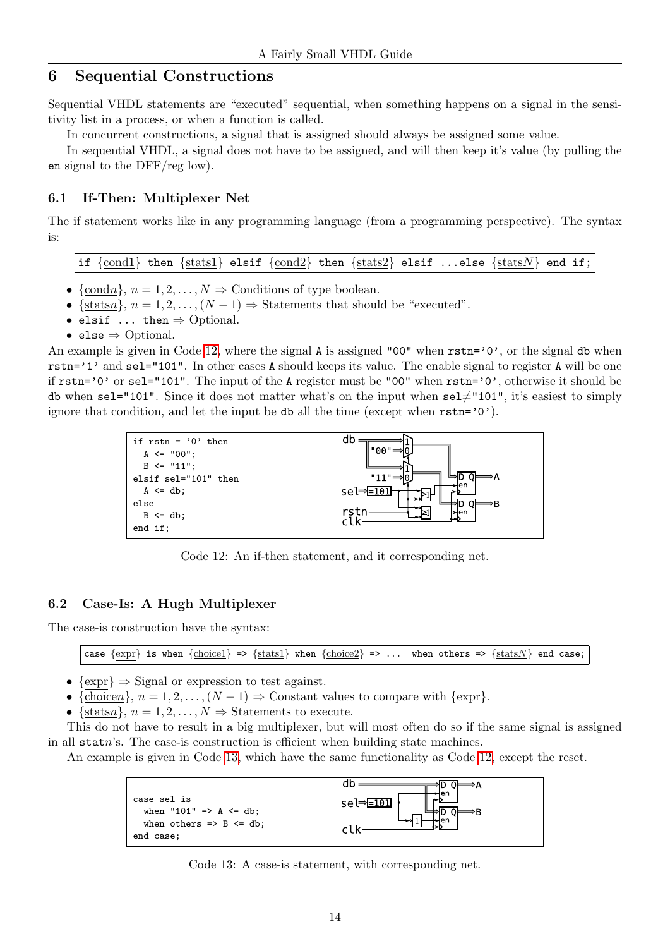## <span id="page-13-0"></span>6 Sequential Constructions

Sequential VHDL statements are "executed" sequential, when something happens on a signal in the sensitivity list in a process, or when a function is called.

In concurrent constructions, a signal that is assigned should always be assigned some value.

In sequential VHDL, a signal does not have to be assigned, and will then keep it's value (by pulling the en signal to the DFF/reg low).

#### <span id="page-13-1"></span>6.1 If-Then: Multiplexer Net

The if statement works like in any programming language (from a programming perspective). The syntax is:

if  $\{cond1\}$  then  $\{stats1\}$  elsif  $\{cond2\}$  then  $\{stats2\}$  elsif ...else  $\{statsN\}$  end if;

- {condn},  $n = 1, 2, ..., N \Rightarrow$  Conditions of type boolean.
- {statsn},  $n = 1, 2, ..., (N 1) \Rightarrow$  Statements that should be "executed".
- elsif  $\ldots$  then  $\Rightarrow$  Optional.
- else  $\Rightarrow$  Optional.

An example is given in Code [12,](#page-13-3) where the signal  $\bf{A}$  is assigned "00" when  $\bf{rstn}$ ='0', or the signal db when rstn='1' and sel="101". In other cases A should keeps its value. The enable signal to register A will be one if rstn='0' or sel="101". The input of the A register must be "00" when rstn='0', otherwise it should be db when sel="101". Since it does not matter what's on the input when  $\text{sel}\neq "101",$  it's easiest to simply ignore that condition, and let the input be db all the time (except when  $rstn='0')$ ).

<span id="page-13-3"></span>

Code 12: An if-then statement, and it corresponding net.

#### <span id="page-13-2"></span>6.2 Case-Is: A Hugh Multiplexer

The case-is construction have the syntax:

case  $\{expr\}$  is when  $\{choice1\}$  =>  $\{stat1\}$  when  $\{choice2\}$  => ... when others =>  $\{statsN\}$  end case;

- $\{\text{expr}\}\Rightarrow$  Signal or expression to test against.
- {choicen},  $n = 1, 2, ..., (N 1)$   $\Rightarrow$  Constant values to compare with {expr}.
- {statsn},  $n = 1, 2, ..., N \Rightarrow$  Statements to execute.

This do not have to result in a big multiplexer, but will most often do so if the same signal is assigned in all statn's. The case-is construction is efficient when building state machines.

<span id="page-13-4"></span>An example is given in Code [13,](#page-13-4) which have the same functionality as Code [12,](#page-13-3) except the reset.



Code 13: A case-is statement, with corresponding net.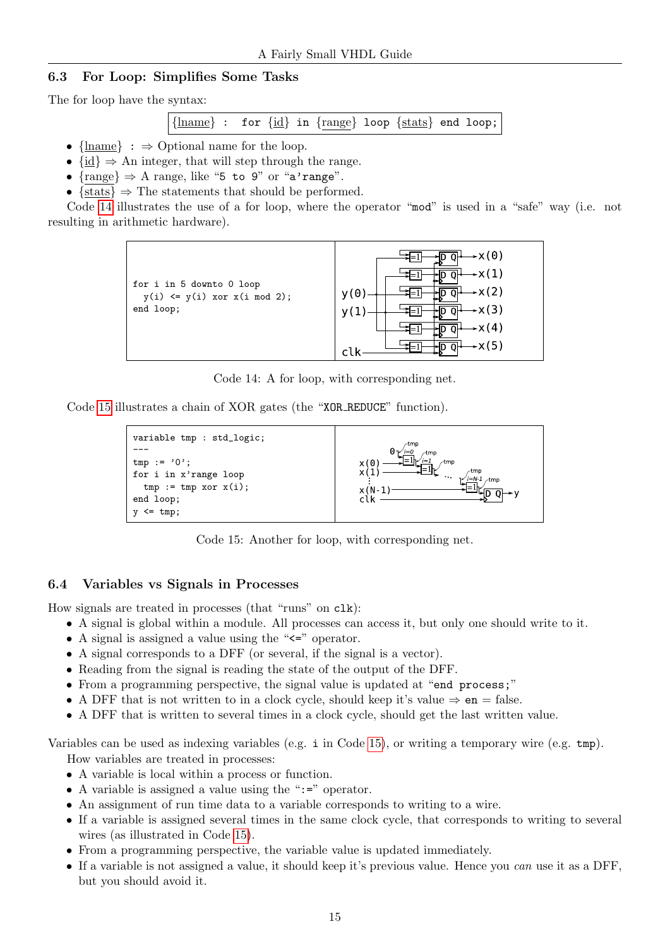## <span id="page-14-0"></span>6.3 For Loop: Simplifies Some Tasks

The for loop have the syntax:

```
{lname} : for {id} in {range} loop {stats} end loop;
```
- ${\{\text{lname}\}}$ :  $\Rightarrow$  Optional name for the loop.
- $\{\mathrm{id}\} \Rightarrow$  An integer, that will step through the range.
- $\{range\} \Rightarrow A \text{ range, like "5 to 9" or "a'range".}$
- $\{stats\} \Rightarrow \text{The statements that should be performed.}$

<span id="page-14-2"></span>Code [14](#page-14-2) illustrates the use of a for loop, where the operator "mod" is used in a "safe" way (i.e. not resulting in arithmetic hardware).



Code 14: A for loop, with corresponding net.

<span id="page-14-3"></span>Code [15](#page-14-3) illustrates a chain of XOR gates (the "XOR REDUCE" function).

```
variable tmp : std_logic;
---
tmp := '0';for i in x'range loop
  tmp := tmp xor x(i);end loop;
y \leq \text{tmp};
```


Code 15: Another for loop, with corresponding net.

#### <span id="page-14-1"></span>6.4 Variables vs Signals in Processes

How signals are treated in processes (that "runs" on clk):

- A signal is global within a module. All processes can access it, but only one should write to it.
- A signal is assigned a value using the " $\leq$ " operator.
- A signal corresponds to a DFF (or several, if the signal is a vector).
- Reading from the signal is reading the state of the output of the DFF.
- From a programming perspective, the signal value is updated at "end process;"
- A DFF that is not written to in a clock cycle, should keep it's value  $\Rightarrow$  en = false.
- A DFF that is written to several times in a clock cycle, should get the last written value.

Variables can be used as indexing variables (e.g. i in Code [15\)](#page-14-3), or writing a temporary wire (e.g. tmp). How variables are treated in processes:

- A variable is local within a process or function.
- A variable is assigned a value using the ":=" operator.
- An assignment of run time data to a variable corresponds to writing to a wire.
- If a variable is assigned several times in the same clock cycle, that corresponds to writing to several wires (as illustrated in Code [15\)](#page-14-3).
- From a programming perspective, the variable value is updated immediately.
- If a variable is not assigned a value, it should keep it's previous value. Hence you can use it as a DFF, but you should avoid it.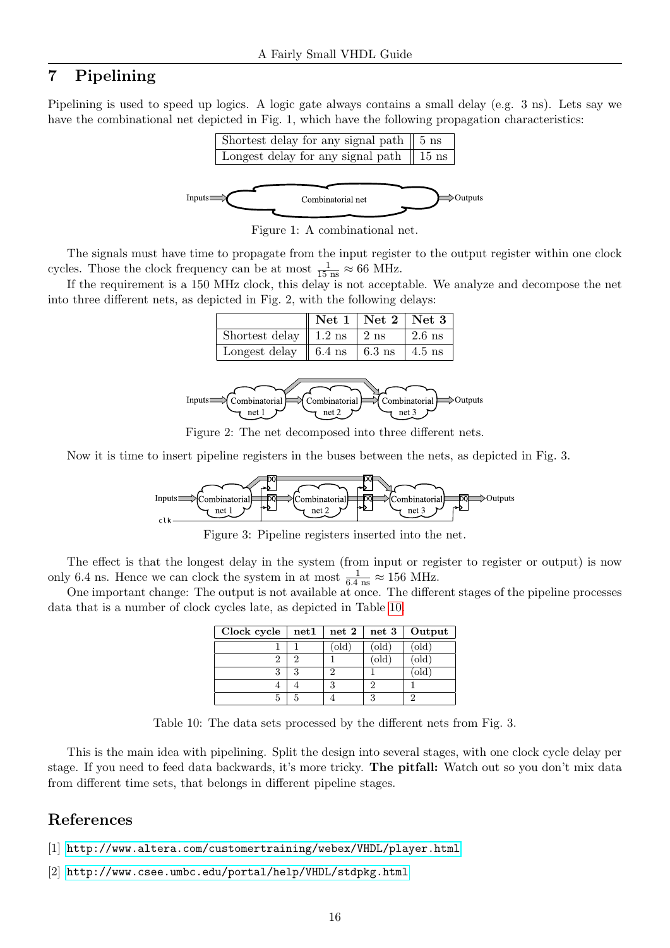## <span id="page-15-0"></span>7 Pipelining

Pipelining is used to speed up logics. A logic gate always contains a small delay (e.g. 3 ns). Lets say we have the combinational net depicted in Fig. 1, which have the following propagation characteristics:



Figure 1: A combinational net.

The signals must have time to propagate from the input register to the output register within one clock cycles. Those the clock frequency can be at most  $\frac{1}{15 \text{ ns}} \approx 66 \text{ MHz}$ .

If the requirement is a 150 MHz clock, this delay is not acceptable. We analyze and decompose the net into three different nets, as depicted in Fig. 2, with the following delays:

|                                                    | Net $1  $ Net $2  $ Net $3  $ |          |
|----------------------------------------------------|-------------------------------|----------|
| Shortest delay $\parallel$ 1.2 ns $\parallel$ 2 ns |                               | $2.6$ ns |
| Longest delay    6.4 ns    6.3 ns    4.5 ns        |                               |          |



Figure 2: The net decomposed into three different nets.

Now it is time to insert pipeline registers in the buses between the nets, as depicted in Fig. 3.



Figure 3: Pipeline registers inserted into the net.

The effect is that the longest delay in the system (from input or register to register or output) is now only 6.4 ns. Hence we can clock the system in at most  $\frac{1}{6.4 \text{ ns}} \approx 156 \text{ MHz.}$ 

<span id="page-15-3"></span>One important change: The output is not available at once. The different stages of the pipeline processes data that is a number of clock cycles late, as depicted in Table [10.](#page-15-3)

| Clock cycle | net1                        | net 2 | net 3 | Output       |
|-------------|-----------------------------|-------|-------|--------------|
|             |                             | 'old  | (old) | $\text{old}$ |
|             | $\mathcal{D}_{\mathcal{L}}$ |       | 'old  | (old)        |
|             | ৭                           |       |       | old          |
|             |                             |       |       |              |
|             |                             |       |       |              |

Table 10: The data sets processed by the different nets from Fig. 3.

This is the main idea with pipelining. Split the design into several stages, with one clock cycle delay per stage. If you need to feed data backwards, it's more tricky. The pitfall: Watch out so you don't mix data from different time sets, that belongs in different pipeline stages.

## References

- <span id="page-15-1"></span>[1] <http://www.altera.com/customertraining/webex/VHDL/player.html>
- <span id="page-15-2"></span>[2] <http://www.csee.umbc.edu/portal/help/VHDL/stdpkg.html>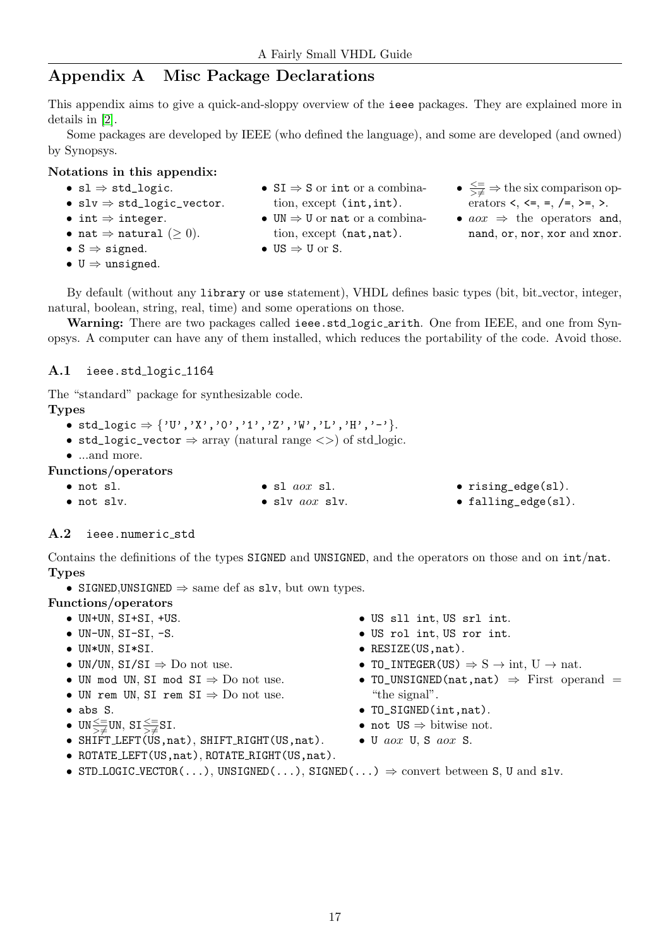## <span id="page-16-0"></span>Appendix A Misc Package Declarations

This appendix aims to give a quick-and-sloppy overview of the ieee packages. They are explained more in details in [\[2\]](#page-15-2).

Some packages are developed by IEEE (who defined the language), and some are developed (and owned) by Synopsys.

### Notations in this appendix:

- $sl \Rightarrow std\_logic.$
- $slv \Rightarrow std\_logic\_vector.$
- int  $\Rightarrow$  integer.
- nat  $\Rightarrow$  natural  $( \geq 0).$
- $S \Rightarrow$  signed.
- $U \Rightarrow$  unsigned.
- $SI \Rightarrow S$  or int or a combination, except (int, int).
- $UN \Rightarrow U$  or nat or a combina-
- 
- tion, except (nat, nat).
- 
- US  $\Rightarrow$  U or S.
- $\leq \frac{\leq}{\geq \neq}$   $\Rightarrow$  the six comparison operators <, <=, =, /=, >=, >.
- $a\omega x \Rightarrow$  the operators and, nand, or, nor, xor and xnor.

By default (without any library or use statement), VHDL defines basic types (bit, bit vector, integer, natural, boolean, string, real, time) and some operations on those.

Warning: There are two packages called ieee.std\_logic\_arith. One from IEEE, and one from Synopsys. A computer can have any of them installed, which reduces the portability of the code. Avoid those.

## <span id="page-16-1"></span>A.1 ieee.std\_logic\_1164

The "standard" package for synthesizable code.

Types

- std\_logic  $\Rightarrow$  {'U','X','O','1','Z','W','L','H','-'}.
- std\_logic\_vector  $\Rightarrow$  array (natural range  $\langle \rangle$ ) of std\_logic.
- ...and more.
- Functions/operators
	- not sl. • not slv.

• sl aox sl. • slv aox slv.

- rising\_edge(sl).
- falling\_edge(sl).

## <span id="page-16-2"></span>A.2 ieee.numeric\_std

Contains the definitions of the types SIGNED and UNSIGNED, and the operators on those and on int/nat. Types

• SIGNED, UNSIGNED  $\Rightarrow$  same def as slv, but own types.

## Functions/operators

- UN+UN, SI+SI, +US.
- $\bullet$  UN-UN, SI-SI, -S.
- UN\*UN, SI\*SI.
- UN/UN,  $SI/SI \Rightarrow Do$  not use.
- UN mod UN, SI mod  $SI \Rightarrow Do$  not use.
- UN rem UN, SI rem  $SI \Rightarrow Do$  not use.
- abs S.
- $UN \leq \equiv UN, SI \leq \equiv SI.$
- SHIFT LEFT(US,nat), SHIFT RIGHT(US,nat).
- ROTATE LEFT(US,nat), ROTATE RIGHT(US,nat).
- US sll int, US srl int.
- US rol int, US ror int.
- RESIZE(US,nat).
- TO\_INTEGER(US)  $\Rightarrow$  S  $\rightarrow$  int, U  $\rightarrow$  nat.
- TO\_UNSIGNED(nat,nat)  $\Rightarrow$  First operand = "the signal".
- TO\_SIGNED(int,nat).
- not  $US \Rightarrow$  bitwise not.
- U aox U, S aox S.
- STD\_LOGIC\_VECTOR(...), UNSIGNED(...), SIGNED(...)  $\Rightarrow$  convert between S, U and slv.